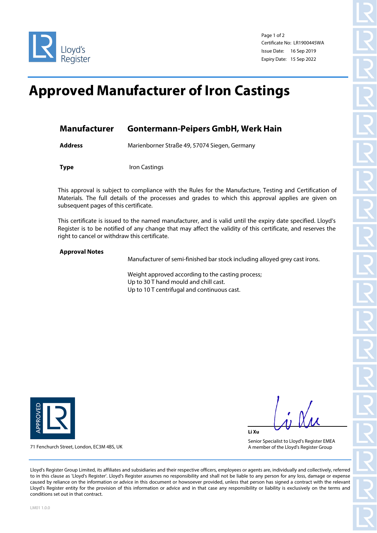



Page 1 of 2 Certificate No: LR1900445WA Issue Date: 16 Sep 2019 Expiry Date: 15 Sep 2022

## **Approved Manufacturer of Iron Castings**

| Manufacturer | <b>Gontermann-Peipers GmbH, Werk Hain</b> |  |
|--------------|-------------------------------------------|--|
|              |                                           |  |

**Address** Marienborner Straße 49, 57074 Siegen, Germany

**Type** Iron Castings

This approval is subject to compliance with the Rules for the Manufacture, Testing and Certification of Materials. The full details of the processes and grades to which this approval applies are given on subsequent pages of this certificate.

This certificate is issued to the named manufacturer, and is valid until the expiry date specified. Lloyd's Register is to be notified of any change that may affect the validity of this certificate, and reserves the right to cancel or withdraw this certificate.

## **Approval Notes**

Manufacturer of semi-finished bar stock including alloyed grey cast irons.

Weight approved according to the casting process; Up to 30 T hand mould and chill cast. Up to 10 T centrifugal and continuous cast.



**Li Xu**

Senior Specialist to Lloyd's Register EMEA A member of the Lloyd's Register Group

71 Fenchurch Street, London, EC3M 4BS, UK

Lloyd's Register Group Limited, its affiliates and subsidiaries and their respective officers, employees or agents are, individually and collectively, referred to in this clause as 'Lloyd's Register'. Lloyd's Register assumes no responsibility and shall not be liable to any person for any loss, damage or expense caused by reliance on the information or advice in this document or howsoever provided, unless that person has signed a contract with the relevant Lloyd's Register entity for the provision of this information or advice and in that case any responsibility or liability is exclusively on the terms and conditions set out in that contract.